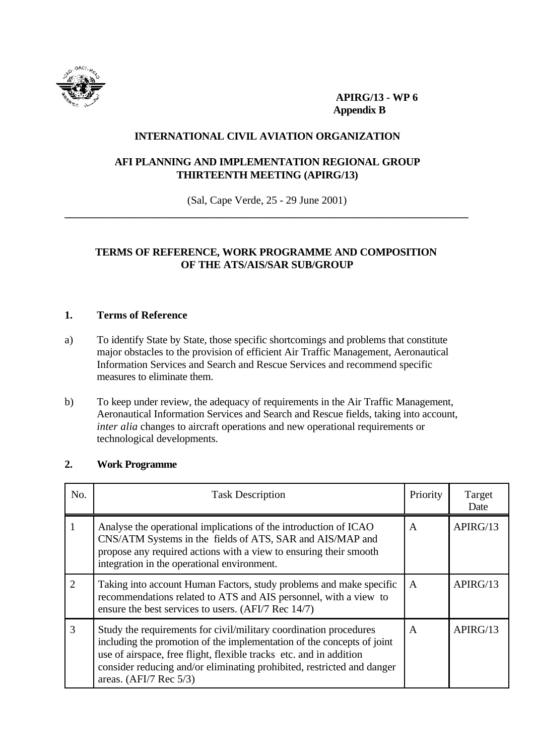

**APIRG/13 - WP 6 Appendix B**

### **INTERNATIONAL CIVIL AVIATION ORGANIZATION**

## **AFI PLANNING AND IMPLEMENTATION REGIONAL GROUP THIRTEENTH MEETING (APIRG/13)**

(Sal, Cape Verde, 25 - 29 June 2001) **\_\_\_\_\_\_\_\_\_\_\_\_\_\_\_\_\_\_\_\_\_\_\_\_\_\_\_\_\_\_\_\_\_\_\_\_\_\_\_\_\_\_\_\_\_\_\_\_\_\_\_\_\_\_\_\_\_\_\_\_\_\_\_\_\_\_\_\_\_\_\_\_\_\_\_**

# **TERMS OF REFERENCE, WORK PROGRAMME AND COMPOSITION OF THE ATS/AIS/SAR SUB/GROUP**

## **1. Terms of Reference**

- a) To identify State by State, those specific shortcomings and problems that constitute major obstacles to the provision of efficient Air Traffic Management, Aeronautical Information Services and Search and Rescue Services and recommend specific measures to eliminate them.
- b) To keep under review, the adequacy of requirements in the Air Traffic Management, Aeronautical Information Services and Search and Rescue fields, taking into account, *inter alia* changes to aircraft operations and new operational requirements or technological developments.

| No. | <b>Task Description</b>                                                                                                                                                                                                                                                                                                          | Priority     | Target<br>Date |
|-----|----------------------------------------------------------------------------------------------------------------------------------------------------------------------------------------------------------------------------------------------------------------------------------------------------------------------------------|--------------|----------------|
|     | Analyse the operational implications of the introduction of ICAO<br>CNS/ATM Systems in the fields of ATS, SAR and AIS/MAP and<br>propose any required actions with a view to ensuring their smooth<br>integration in the operational environment.                                                                                | A            | APIRG/13       |
| 2   | Taking into account Human Factors, study problems and make specific<br>recommendations related to ATS and AIS personnel, with a view to<br>ensure the best services to users. (AFI/7 Rec 14/7)                                                                                                                                   | $\mathsf{A}$ | APIRG/13       |
| 3   | Study the requirements for civil/military coordination procedures<br>including the promotion of the implementation of the concepts of joint<br>use of airspace, free flight, flexible tracks etc. and in addition<br>consider reducing and/or eliminating prohibited, restricted and danger<br>areas. $(AFI/7 \text{ Rec } 5/3)$ | A            | APIRG/13       |

#### **2. Work Programme**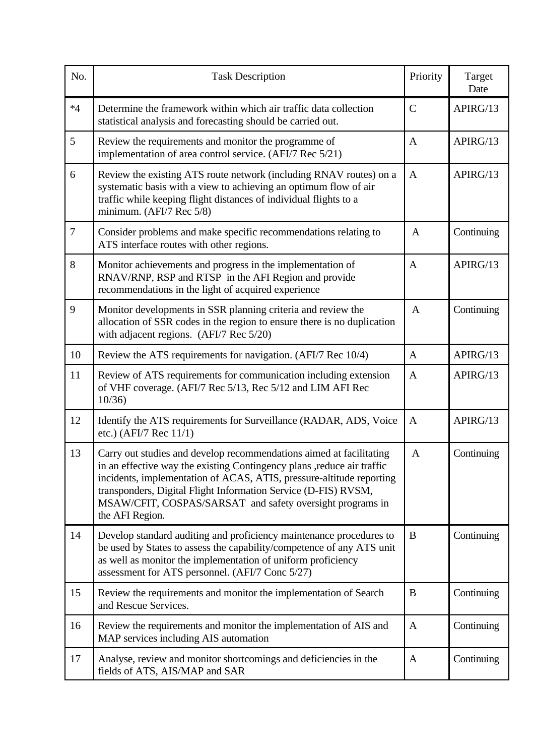| No.            | <b>Task Description</b>                                                                                                                                                                                                                                                                                                                                                  | Priority     | Target<br>Date |
|----------------|--------------------------------------------------------------------------------------------------------------------------------------------------------------------------------------------------------------------------------------------------------------------------------------------------------------------------------------------------------------------------|--------------|----------------|
| $*4$           | Determine the framework within which air traffic data collection<br>statistical analysis and forecasting should be carried out.                                                                                                                                                                                                                                          | $\mathbf C$  | APIRG/13       |
| 5              | Review the requirements and monitor the programme of<br>implementation of area control service. (AFI/7 Rec 5/21)                                                                                                                                                                                                                                                         | $\mathbf{A}$ | APIRG/13       |
| 6              | Review the existing ATS route network (including RNAV routes) on a<br>systematic basis with a view to achieving an optimum flow of air<br>traffic while keeping flight distances of individual flights to a<br>minimum. (AFI/7 Rec 5/8)                                                                                                                                  | $\mathbf{A}$ | APIRG/13       |
| $\overline{7}$ | Consider problems and make specific recommendations relating to<br>ATS interface routes with other regions.                                                                                                                                                                                                                                                              | $\mathbf{A}$ | Continuing     |
| 8              | Monitor achievements and progress in the implementation of<br>RNAV/RNP, RSP and RTSP in the AFI Region and provide<br>recommendations in the light of acquired experience                                                                                                                                                                                                | $\mathbf{A}$ | APIRG/13       |
| 9              | Monitor developments in SSR planning criteria and review the<br>allocation of SSR codes in the region to ensure there is no duplication<br>with adjacent regions. (AFI/7 Rec 5/20)                                                                                                                                                                                       | $\mathbf{A}$ | Continuing     |
| 10             | Review the ATS requirements for navigation. (AFI/7 Rec 10/4)                                                                                                                                                                                                                                                                                                             | $\mathbf{A}$ | APIRG/13       |
| 11             | Review of ATS requirements for communication including extension<br>of VHF coverage. (AFI/7 Rec 5/13, Rec 5/12 and LIM AFI Rec<br>10/36                                                                                                                                                                                                                                  | $\mathbf{A}$ | APIRG/13       |
| 12             | Identify the ATS requirements for Surveillance (RADAR, ADS, Voice<br>etc.) (AFI/7 Rec 11/1)                                                                                                                                                                                                                                                                              | $\mathbf{A}$ | APIRG/13       |
| 13             | Carry out studies and develop recommendations aimed at facilitating<br>in an effective way the existing Contingency plans , reduce air traffic<br>incidents, implementation of ACAS, ATIS, pressure-altitude reporting<br>transponders, Digital Flight Information Service (D-FIS) RVSM,<br>MSAW/CFIT, COSPAS/SARSAT and safety oversight programs in<br>the AFI Region. | $\mathbf{A}$ | Continuing     |
| 14             | Develop standard auditing and proficiency maintenance procedures to<br>be used by States to assess the capability/competence of any ATS unit<br>as well as monitor the implementation of uniform proficiency<br>assessment for ATS personnel. (AFI/7 Conc 5/27)                                                                                                          | B            | Continuing     |
| 15             | Review the requirements and monitor the implementation of Search<br>and Rescue Services.                                                                                                                                                                                                                                                                                 | B            | Continuing     |
| 16             | Review the requirements and monitor the implementation of AIS and<br>MAP services including AIS automation                                                                                                                                                                                                                                                               | $\mathbf{A}$ | Continuing     |
| 17             | Analyse, review and monitor shortcomings and deficiencies in the<br>fields of ATS, AIS/MAP and SAR                                                                                                                                                                                                                                                                       | A            | Continuing     |